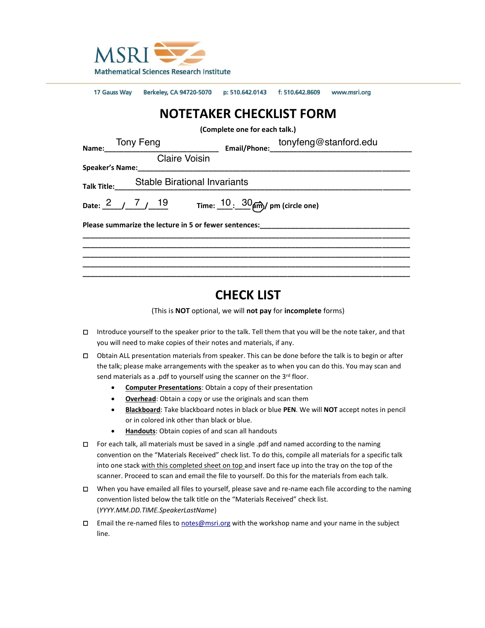

17 Gauss Way Berkeley, CA 94720-5070 p: 510.642.0143 f: 510.642.8609 www.msri.org

# **NOTETAKER CHECKLIST FORM**

**(Complete one for each talk.)**

| Name: Tony Feng                             |  |  |  |  |  |  | Email/Phone: tonyfeng@stanford.edu     |  |
|---------------------------------------------|--|--|--|--|--|--|----------------------------------------|--|
| <b>Claire Voisin</b>                        |  |  |  |  |  |  |                                        |  |
| Talk Title:___ Stable Birational Invariants |  |  |  |  |  |  |                                        |  |
| Date: $2 / 7 / 19$                          |  |  |  |  |  |  | Time: $10: 30$ $\mu$ ) pm (circle one) |  |
|                                             |  |  |  |  |  |  |                                        |  |
|                                             |  |  |  |  |  |  |                                        |  |
|                                             |  |  |  |  |  |  |                                        |  |

## **CHECK LIST**

(This is **NOT** optional, we will **not pay** for **incomplete** forms)

- □ Introduce yourself to the speaker prior to the talk. Tell them that you will be the note taker, and that you will need to make copies of their notes and materials, if any.
- □ Obtain ALL presentation materials from speaker. This can be done before the talk is to begin or after the talk; please make arrangements with the speaker as to when you can do this. You may scan and send materials as a .pdf to yourself using the scanner on the 3<sup>rd</sup> floor.
	- **Computer Presentations**: Obtain a copy of their presentation
	- **Overhead**: Obtain a copy or use the originals and scan them
	- **Blackboard**: Take blackboard notes in black or blue **PEN**. We will **NOT** accept notes in pencil or in colored ink other than black or blue.
	- **Handouts**: Obtain copies of and scan all handouts
- □ For each talk, all materials must be saved in a single .pdf and named according to the naming convention on the "Materials Received" check list. To do this, compile all materials for a specific talk into one stack with this completed sheet on top and insert face up into the tray on the top of the scanner. Proceed to scan and email the file to yourself. Do this for the materials from each talk.
- □ When you have emailed all files to yourself, please save and re-name each file according to the naming convention listed below the talk title on the "Materials Received" check list. (*YYYY.MM.DD.TIME.SpeakerLastName*)
- □ Email the re-named files to [notes@msri.org](mailto:notes@msri.org) with the workshop name and your name in the subject line.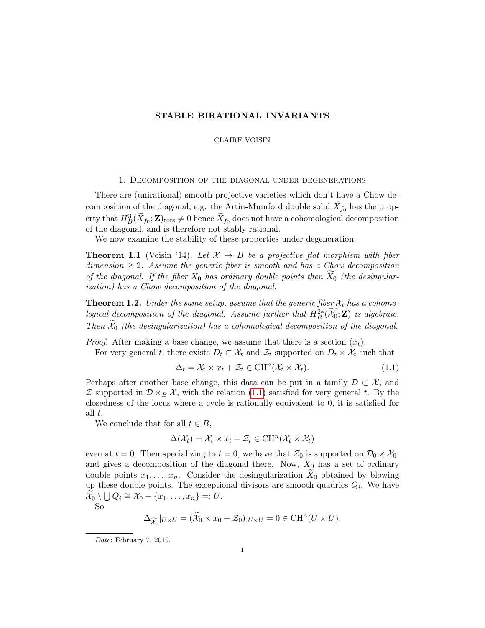#### STABLE BIRATIONAL INVARIANTS

#### CLAIRE VOISIN

#### 1. Decomposition of the diagonal under degenerations

There are (unirational) smooth projective varieties which don't have a Chow decomposition of the diagonal, e.g. the Artin-Mumford double solid  $\widetilde{X}_{f_0}$  has the property that  $H_B^3(\widetilde{X}_{f_0}; \mathbf{Z})_{\text{tors}} \neq 0$  hence  $\widetilde{X}_{f_0}$  does not have a cohomological decomposition of the diagonal, and is therefore not stably rational.

We now examine the stability of these properties under degeneration.

**Theorem 1.1** (Voisin '14). Let  $\mathcal{X} \to B$  be a projective flat morphism with fiber dimension  $\geq 2$ . Assume the generic fiber is smooth and has a Chow decomposition of the diagonal. If the fiber  $X_0$  has ordinary double points then  $X_0$  (the desingularization) has a Chow decomposition of the diagonal.

**Theorem 1.2.** Under the same setup, assume that the generic fiber  $\mathcal{X}_t$  has a cohomological decomposition of the diagonal. Assume further that  $H^{2*}_B(\mathcal{X}_0; \mathbf{Z})$  is algebraic. Then  $\mathcal{X}_0$  (the desingularization) has a cohomological decomposition of the diagonal.

*Proof.* After making a base change, we assume that there is a section  $(x_t)$ .

For very general t, there exists  $D_t \subset \mathcal{X}_t$  and  $\mathcal{Z}_t$  supported on  $D_t \times \mathcal{X}_t$  such that

$$
\Delta_t = \mathcal{X}_t \times x_t + \mathcal{Z}_t \in \mathrm{CH}^n(\mathcal{X}_t \times \mathcal{X}_t). \tag{1.1}
$$

Perhaps after another base change, this data can be put in a family  $\mathcal{D} \subset \mathcal{X}$ , and Z supported in  $\mathcal{D}\times_B \mathcal{X}$ , with the relation (1.1) satisfied for very general t. By the closedness of the locus where a cycle is rationally equivalent to 0, it is satisfied for all t.

We conclude that for all  $t \in B$ ,

$$
\Delta(\mathcal{X}_t) = \mathcal{X}_t \times x_t + \mathcal{Z}_t \in \mathrm{CH}^n(\mathcal{X}_t \times \mathcal{X}_t)
$$

even at  $t = 0$ . Then specializing to  $t = 0$ , we have that  $\mathcal{Z}_0$  is supported on  $\mathcal{D}_0 \times \mathcal{X}_0$ , and gives a decomposition of the diagonal there. Now,  $X_0$  has a set of ordinary double points  $x_1, \ldots, x_n$ . Consider the desingularization  $X_0$  obtained by blowing up these double points. The exceptional divisors are smooth quadrics  $Q_i$ . We have  $\widetilde{\mathcal{X}}_0 \setminus \bigcup Q_i \cong \mathcal{X}_0 - \{x_1, \ldots, x_n\} =: U.$ 

So

$$
\Delta_{\widetilde{\mathcal{X}_0}}|_{U\times U} = (\widetilde{\mathcal{X}}_0 \times x_0 + \mathcal{Z}_0)|_{U\times U} = 0 \in \mathrm{CH}^n(U \times U).
$$

Date: February 7, 2019.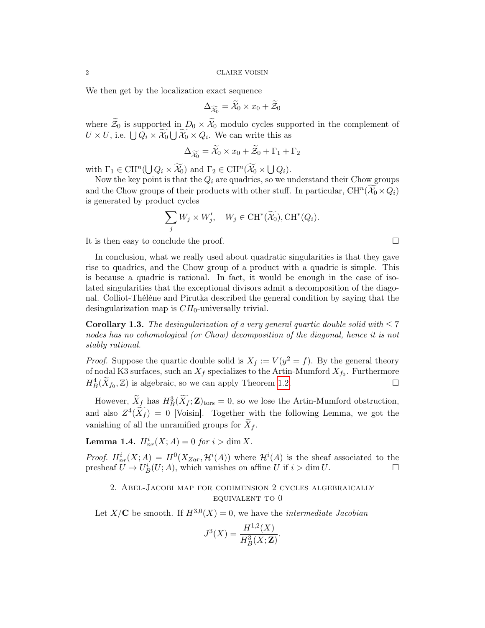#### 2 CLAIRE VOISIN

We then get by the localization exact sequence

$$
\Delta_{\widetilde{\mathcal{X}_0}} = \widetilde{\mathcal{X}}_0 \times x_0 + \widetilde{\mathcal{Z}}_0
$$

where  $\widetilde{\mathcal{Z}}_0$  is supported in  $D_0 \times \widetilde{\mathcal{X}}_0$  modulo cycles supported in the complement of  $U \times U$ , i.e.  $\bigcup Q_i \times \mathcal{X}_0 \bigcup \mathcal{X}_0 \times Q_i$ . We can write this as

$$
\Delta_{\widetilde{\mathcal{X}_0}} = \widetilde{\mathcal{X}}_0 \times x_0 + \widetilde{\mathcal{Z}}_0 + \Gamma_1 + \Gamma_2
$$

with  $\Gamma_1 \in \text{CH}^n(\bigcup Q_i \times \widetilde{\mathcal{X}_0})$  and  $\Gamma_2 \in \text{CH}^n(\widetilde{\mathcal{X}_0} \times \bigcup Q_i)$ .

Now the key point is that the  $Q_i$  are quadrics, so we understand their Chow groups and the Chow groups of their products with other stuff. In particular,  $\mathrm{CH}^n(\widetilde{\mathcal{X}_0}\times Q_i)$ is generated by product cycles

$$
\sum_j W_j \times W'_j, \quad W_j \in \text{CH}^*(\widetilde{\mathcal{X}_0}), \text{CH}^*(Q_i).
$$

It is then easy to conclude the proof.

In conclusion, what we really used about quadratic singularities is that they gave rise to quadrics, and the Chow group of a product with a quadric is simple. This is because a quadric is rational. In fact, it would be enough in the case of isolated singularities that the exceptional divisors admit a decomposition of the diagonal. Colliot-Thélène and Pirutka described the general condition by saying that the desingularization map is  $CH<sub>0</sub>$ -universally trivial.

**Corollary 1.3.** The desingularization of a very general quartic double solid with  $\leq 7$ nodes has no cohomological (or Chow) decomposition of the diagonal, hence it is not stably rational.

*Proof.* Suppose the quartic double solid is  $X_f := V(y^2 = f)$ . By the general theory of nodal K3 surfaces, such an  $X_f$  specializes to the Artin-Mumford  $X_{f_0}$ . Furthermore  $H^4_B(\widetilde{X}_{f_0}, \mathbb{Z})$  is algebraic, so we can apply Theorem 1.2.

However,  $\widetilde{X}_{\underline{f}}$  has  $H^3_B(\widetilde{X}_{\overline{f}};\mathbf{Z})_{\text{tors}} = 0$ , so we lose the Artin-Mumford obstruction, and also  $Z^4(\widetilde{X}_f) = 0$  [Voisin]. Together with the following Lemma, we got the vanishing of all the unramified groups for  $X_f$ .

**Lemma 1.4.**  $H_{nr}^i(X;A) = 0$  for  $i > \dim X$ .

*Proof.*  $H^i_{nr}(X;A) = H^0(X_{Zar}, \mathcal{H}^i(A))$  where  $\mathcal{H}^i(A)$  is the sheaf associated to the presheaf  $\ddot{U} \mapsto U_B^i(U; A)$ , which vanishes on affine U if  $i > \dim U$ .

### 2. Abel-Jacobi map for codimension 2 cycles algebraically equivalent to 0

Let  $X/C$  be smooth. If  $H^{3,0}(X) = 0$ , we have the *intermediate Jacobian* 

$$
J^3(X) = \frac{H^{1,2}(X)}{H^3_B(X;\mathbf{Z})}.
$$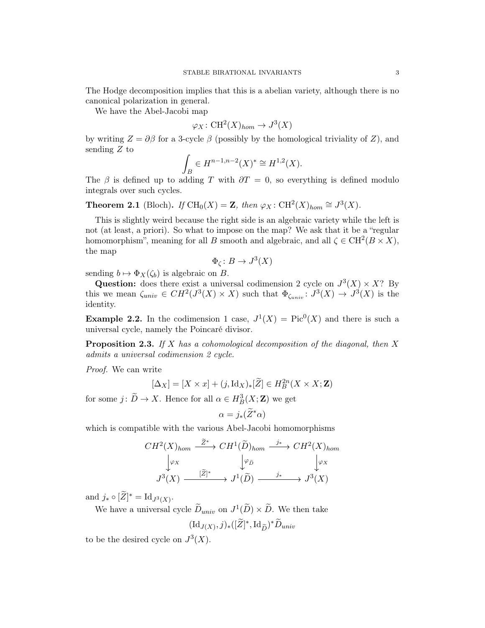The Hodge decomposition implies that this is a abelian variety, although there is no canonical polarization in general.

We have the Abel-Jacobi map

$$
\varphi_X\colon \mathrm{CH}^2(X)_{hom}\to J^3(X)
$$

by writing  $Z = \partial \beta$  for a 3-cycle  $\beta$  (possibly by the homological triviality of Z), and sending  $Z$  to

$$
\int_B \in H^{n-1,n-2}(X)^* \cong H^{1,2}(X).
$$

The  $\beta$  is defined up to adding T with  $\partial T = 0$ , so everything is defined modulo integrals over such cycles.

**Theorem 2.1** (Bloch). If  $\text{CH}_0(X) = \mathbf{Z}$ , then  $\varphi_X : \text{CH}^2(X)_{hom} \cong J^3(X)$ .

This is slightly weird because the right side is an algebraic variety while the left is not (at least, a priori). So what to impose on the map? We ask that it be a "regular homomorphism", meaning for all B smooth and algebraic, and all  $\zeta \in \mathrm{CH}^2(B \times X)$ , the map

$$
\Phi_{\zeta} \colon B \to J^3(X)
$$

sending  $b \mapsto \Phi_X(\zeta_b)$  is algebraic on B.

Question: does there exist a universal codimension 2 cycle on  $J^3(X) \times X$ ? By this we mean  $\zeta_{univ} \in CH^2(J^3(X) \times X)$  such that  $\Phi_{\zeta_{univ}} : J^3(X) \to J^3(X)$  is the identity.

**Example 2.2.** In the codimension 1 case,  $J^1(X) = Pic^0(X)$  and there is such a universal cycle, namely the Poincaré divisor.

**Proposition 2.3.** If X has a cohomological decomposition of the diagonal, then X admits a universal codimension 2 cycle.

Proof. We can write

$$
[\Delta_X] = [X \times x] + (j, \operatorname{Id}_X)_*[\widetilde{Z}] \in H^{2n}_B(X \times X; \mathbf{Z})
$$

for some  $j: \widetilde{D} \to X$ . Hence for all  $\alpha \in H^3_B(X; \mathbf{Z})$  we get

$$
\alpha = j_*(\widetilde{Z}^*\alpha)
$$

which is compatible with the various Abel-Jacobi homomorphisms

$$
CH^2(X)_{hom} \xrightarrow{\tilde{Z}^*} CH^1(\tilde{D})_{hom} \xrightarrow{j_*} CH^2(X)_{hom}
$$

$$
\downarrow \varphi_X
$$

$$
J^3(X) \xrightarrow{[\tilde{Z}]^*} J^1(\tilde{D}) \xrightarrow{j_*} J^3(X)
$$

and  $j_* \circ [\widetilde{Z}]^* = \mathrm{Id}_{J^3(X)}$ .

We have a universal cycle  $\widetilde{D}_{univ}$  on  $J^1(\widetilde{D}) \times \widetilde{D}$ . We then take  $(\mathrm{Id}_{J(X)}, j)_*([\widetilde{Z}]^*, \mathrm{Id}_{\widetilde{D}})^* \widetilde{D}_{univ}$ 

to be the desired cycle on  $J^3(X)$ .